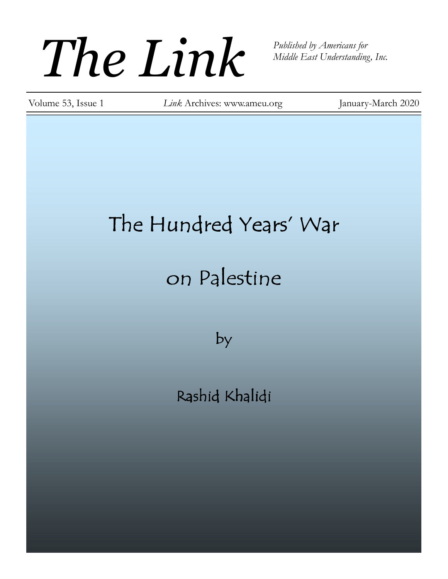# *The Link Published by Americans for*

*Middle East Understanding, Inc.* 

Volume 53, Issue 1 *Link* Archives: www.ameu.org

January-March 2020

# The Hundred Years' War

# on Palestine

by

Rashid Khalidi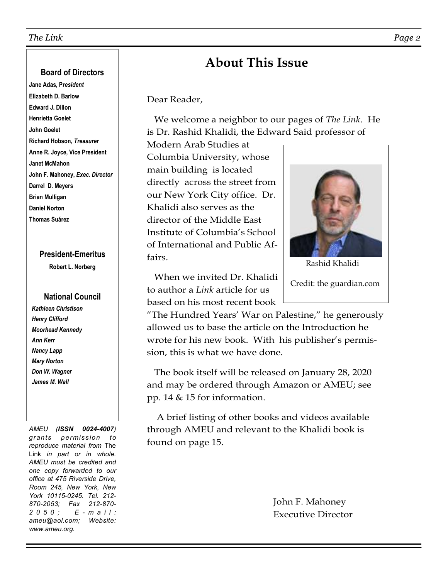## **About This Issue**

#### **Board of Directors**

**Jane Adas, P***resident* **Elizabeth D. Barlow Edward J. Dillon Henrietta Goelet John Goelet Richard Hobson,** *Treasurer* **Anne R. Joyce, Vice President Janet McMahon John F. Mahoney,** *Exec. Director*  **Darrel D. Meyers Brian Mulligan Daniel Norton Thomas Suárez** 

#### **President-Emeritus**

**Robert L. Norberg** 

#### **National Council**

*Kathleen Christison Henry Clifford Moorhead Kennedy Ann Kerr Nancy Lapp Mary Norton Don W. Wagner James M. Wall* 

*AMEU (ISSN 0024-4007) grants permission to reproduce material from* The Link *in part or in whole. AMEU must be credited and one copy forwarded to our office at 475 Riverside Drive, Room 245, New York, New York 10115-0245. Tel. 212- 870-2053; Fax 212-870- 2 0 5 0 ; E - m a i l : ameu@aol.com; Website: www.ameu.org.* 

Dear Reader,

 We welcome a neighbor to our pages of *The Link*. He is Dr. Rashid Khalidi, the Edward Said professor of

Modern Arab Studies at Columbia University, whose main building is located directly across the street from our New York City office. Dr. Khalidi also serves as the director of the Middle East Institute of Columbia's School of International and Public Affairs.

 When we invited Dr. Khalidi to author a *Link* article for us based on his most recent book

"The Hundred Years' War on Palestine," he generously allowed us to base the article on the Introduction he wrote for his new book. With his publisher's permission, this is what we have done.

 The book itself will be released on January 28, 2020 and may be ordered through Amazon or AMEU; see pp. 14 & 15 for information.

 A brief listing of other books and videos available through AMEU and relevant to the Khalidi book is found on page 15.

> John F. Mahoney Executive Director



Rashid Khalidi

Credit: the guardian.com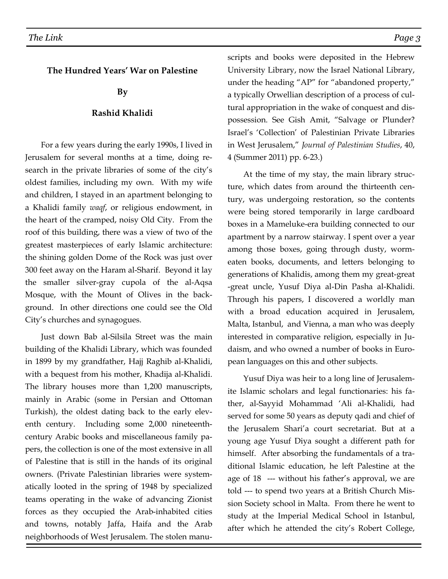#### **The Hundred Years' War on Palestine**

#### **By**

#### **Rashid Khalidi**

For a few years during the early 1990s, I lived in Jerusalem for several months at a time, doing research in the private libraries of some of the city's oldest families, including my own. With my wife and children, I stayed in an apartment belonging to a Khalidi family *waqf*, or religious endowment, in the heart of the cramped, noisy Old City. From the roof of this building, there was a view of two of the greatest masterpieces of early Islamic architecture: the shining golden Dome of the Rock was just over 300 feet away on the Haram al-Sharif. Beyond it lay the smaller silver-gray cupola of the al-Aqsa Mosque, with the Mount of Olives in the background. In other directions one could see the Old City's churches and synagogues.

Just down Bab al-Silsila Street was the main building of the Khalidi Library, which was founded in 1899 by my grandfather, Hajj Raghib al-Khalidi, with a bequest from his mother, Khadija al-Khalidi. The library houses more than 1,200 manuscripts, mainly in Arabic (some in Persian and Ottoman Turkish), the oldest dating back to the early eleventh century. Including some 2,000 nineteenthcentury Arabic books and miscellaneous family papers, the collection is one of the most extensive in all of Palestine that is still in the hands of its original owners. (Private Palestinian libraries were systematically looted in the spring of 1948 by specialized teams operating in the wake of advancing Zionist forces as they occupied the Arab-inhabited cities and towns, notably Jaffa, Haifa and the Arab neighborhoods of West Jerusalem. The stolen manuscripts and books were deposited in the Hebrew University Library, now the Israel National Library, under the heading "AP" for "abandoned property," a typically Orwellian description of a process of cultural appropriation in the wake of conquest and dispossession. See Gish Amit, "Salvage or Plunder? Israel's 'Collection' of Palestinian Private Libraries in West Jerusalem," *Journal of Palestinian Studies*, 40, 4 (Summer 2011) pp. 6-23.)

At the time of my stay, the main library structure, which dates from around the thirteenth century, was undergoing restoration, so the contents were being stored temporarily in large cardboard boxes in a Mameluke-era building connected to our apartment by a narrow stairway. I spent over a year among those boxes, going through dusty, wormeaten books, documents, and letters belonging to generations of Khalidis, among them my great-great -great uncle, Yusuf Diya al-Din Pasha al-Khalidi. Through his papers, I discovered a worldly man with a broad education acquired in Jerusalem, Malta, Istanbul, and Vienna, a man who was deeply interested in comparative religion, especially in Judaism, and who owned a number of books in European languages on this and other subjects.

Yusuf Diya was heir to a long line of Jerusalemite Islamic scholars and legal functionaries: his father, al-Sayyid Mohammad 'Ali al-Khalidi, had served for some 50 years as deputy qadi and chief of the Jerusalem Shari'a court secretariat. But at a young age Yusuf Diya sought a different path for himself. After absorbing the fundamentals of a traditional Islamic education, he left Palestine at the age of 18 --- without his father's approval, we are told --- to spend two years at a British Church Mission Society school in Malta. From there he went to study at the Imperial Medical School in Istanbul, after which he attended the city's Robert College,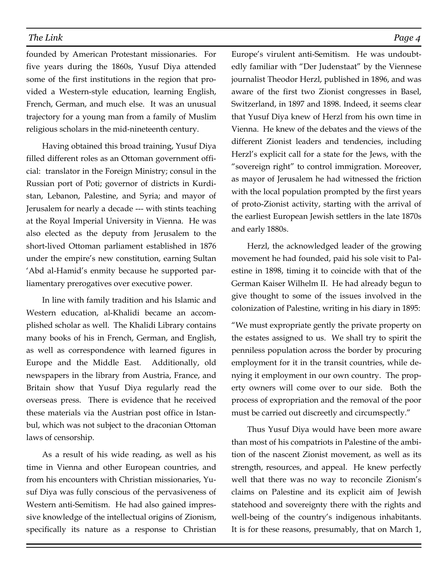founded by American Protestant missionaries. For five years during the 1860s, Yusuf Diya attended some of the first institutions in the region that provided a Western-style education, learning English, French, German, and much else. It was an unusual trajectory for a young man from a family of Muslim religious scholars in the mid-nineteenth century.

Having obtained this broad training, Yusuf Diya filled different roles as an Ottoman government official: translator in the Foreign Ministry; consul in the Russian port of Poti; governor of districts in Kurdistan, Lebanon, Palestine, and Syria; and mayor of Jerusalem for nearly a decade --- with stints teaching at the Royal Imperial University in Vienna. He was also elected as the deputy from Jerusalem to the short-lived Ottoman parliament established in 1876 under the empire's new constitution, earning Sultan 'Abd al-Hamid's enmity because he supported parliamentary prerogatives over executive power.

In line with family tradition and his Islamic and Western education, al-Khalidi became an accomplished scholar as well. The Khalidi Library contains many books of his in French, German, and English, as well as correspondence with learned figures in Europe and the Middle East. Additionally, old newspapers in the library from Austria, France, and Britain show that Yusuf Diya regularly read the overseas press. There is evidence that he received these materials via the Austrian post office in Istanbul, which was not subject to the draconian Ottoman laws of censorship.

As a result of his wide reading, as well as his time in Vienna and other European countries, and from his encounters with Christian missionaries, Yusuf Diya was fully conscious of the pervasiveness of Western anti-Semitism. He had also gained impressive knowledge of the intellectual origins of Zionism, specifically its nature as a response to Christian Europe's virulent anti-Semitism. He was undoubtedly familiar with "Der Judenstaat" by the Viennese journalist Theodor Herzl, published in 1896, and was aware of the first two Zionist congresses in Basel, Switzerland, in 1897 and 1898. Indeed, it seems clear that Yusuf Diya knew of Herzl from his own time in Vienna. He knew of the debates and the views of the different Zionist leaders and tendencies, including Herzl's explicit call for a state for the Jews, with the "sovereign right" to control immigration. Moreover, as mayor of Jerusalem he had witnessed the friction with the local population prompted by the first years of proto-Zionist activity, starting with the arrival of the earliest European Jewish settlers in the late 1870s and early 1880s.

Herzl, the acknowledged leader of the growing movement he had founded, paid his sole visit to Palestine in 1898, timing it to coincide with that of the German Kaiser Wilhelm II. He had already begun to give thought to some of the issues involved in the colonization of Palestine, writing in his diary in 1895:

"We must expropriate gently the private property on the estates assigned to us. We shall try to spirit the penniless population across the border by procuring employment for it in the transit countries, while denying it employment in our own country. The property owners will come over to our side. Both the process of expropriation and the removal of the poor must be carried out discreetly and circumspectly."

Thus Yusuf Diya would have been more aware than most of his compatriots in Palestine of the ambition of the nascent Zionist movement, as well as its strength, resources, and appeal. He knew perfectly well that there was no way to reconcile Zionism's claims on Palestine and its explicit aim of Jewish statehood and sovereignty there with the rights and well-being of the country's indigenous inhabitants. It is for these reasons, presumably, that on March 1,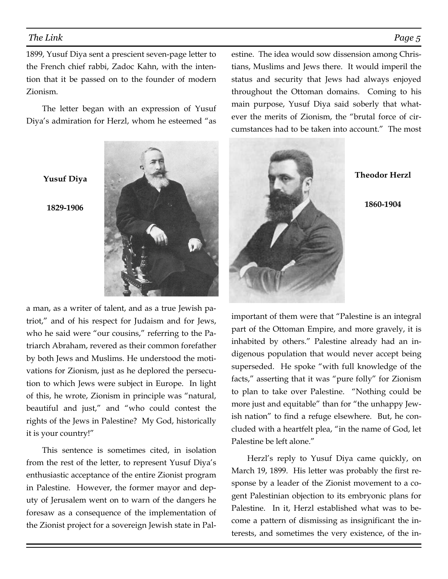1899, Yusuf Diya sent a prescient seven-page letter to the French chief rabbi, Zadoc Kahn, with the intention that it be passed on to the founder of modern Zionism.

The letter began with an expression of Yusuf Diya's admiration for Herzl, whom he esteemed "as

**Yusuf Diya** 

**1829-1906** 

a man, as a writer of talent, and as a true Jewish patriot," and of his respect for Judaism and for Jews, who he said were "our cousins," referring to the Patriarch Abraham, revered as their common forefather by both Jews and Muslims. He understood the motivations for Zionism, just as he deplored the persecution to which Jews were subject in Europe. In light of this, he wrote, Zionism in principle was "natural, beautiful and just," and "who could contest the rights of the Jews in Palestine? My God, historically it is your country!"

This sentence is sometimes cited, in isolation from the rest of the letter, to represent Yusuf Diya's enthusiastic acceptance of the entire Zionist program in Palestine. However, the former mayor and deputy of Jerusalem went on to warn of the dangers he foresaw as a consequence of the implementation of the Zionist project for a sovereign Jewish state in Palestine. The idea would sow dissension among Christians, Muslims and Jews there. It would imperil the status and security that Jews had always enjoyed throughout the Ottoman domains. Coming to his main purpose, Yusuf Diya said soberly that whatever the merits of Zionism, the "brutal force of circumstances had to be taken into account." The most



**1860-1904** 

important of them were that "Palestine is an integral part of the Ottoman Empire, and more gravely, it is inhabited by others." Palestine already had an indigenous population that would never accept being superseded. He spoke "with full knowledge of the facts," asserting that it was "pure folly" for Zionism to plan to take over Palestine. "Nothing could be more just and equitable" than for "the unhappy Jewish nation" to find a refuge elsewhere. But, he concluded with a heartfelt plea, "in the name of God, let Palestine be left alone."

Herzl's reply to Yusuf Diya came quickly, on March 19, 1899. His letter was probably the first response by a leader of the Zionist movement to a cogent Palestinian objection to its embryonic plans for Palestine. In it, Herzl established what was to become a pattern of dismissing as insignificant the interests, and sometimes the very existence, of the in-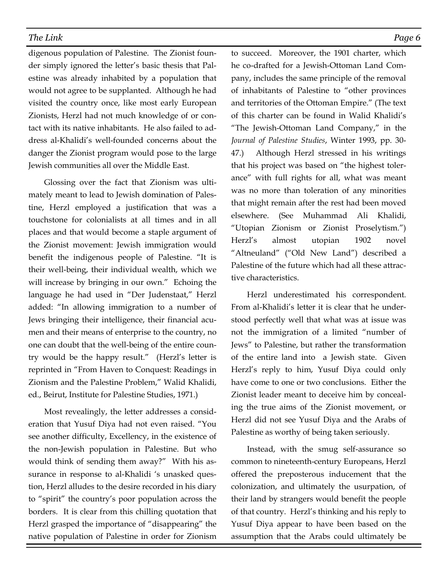digenous population of Palestine. The Zionist founder simply ignored the letter's basic thesis that Palestine was already inhabited by a population that would not agree to be supplanted. Although he had visited the country once, like most early European Zionists, Herzl had not much knowledge of or contact with its native inhabitants. He also failed to address al-Khalidi's well-founded concerns about the danger the Zionist program would pose to the large Jewish communities all over the Middle East.

Glossing over the fact that Zionism was ultimately meant to lead to Jewish domination of Palestine, Herzl employed a justification that was a touchstone for colonialists at all times and in all places and that would become a staple argument of the Zionist movement: Jewish immigration would benefit the indigenous people of Palestine. "It is their well-being, their individual wealth, which we will increase by bringing in our own." Echoing the language he had used in "Der Judenstaat," Herzl added: "In allowing immigration to a number of Jews bringing their intelligence, their financial acumen and their means of enterprise to the country, no one can doubt that the well-being of the entire country would be the happy result." (Herzl's letter is reprinted in "From Haven to Conquest: Readings in Zionism and the Palestine Problem," Walid Khalidi, ed., Beirut, Institute for Palestine Studies, 1971.)

Most revealingly, the letter addresses a consideration that Yusuf Diya had not even raised. "You see another difficulty, Excellency, in the existence of the non-Jewish population in Palestine. But who would think of sending them away?" With his assurance in response to al-Khalidi 's unasked question, Herzl alludes to the desire recorded in his diary to "spirit" the country's poor population across the borders. It is clear from this chilling quotation that Herzl grasped the importance of "disappearing" the native population of Palestine in order for Zionism

to succeed. Moreover, the 1901 charter, which he co-drafted for a Jewish-Ottoman Land Company, includes the same principle of the removal of inhabitants of Palestine to "other provinces and territories of the Ottoman Empire." (The text of this charter can be found in Walid Khalidi's "The Jewish-Ottoman Land Company," in the *Journal of Palestine Studies*, Winter 1993, pp. 30- 47.) Although Herzl stressed in his writings that his project was based on "the highest tolerance" with full rights for all, what was meant was no more than toleration of any minorities that might remain after the rest had been moved elsewhere. (See Muhammad Ali Khalidi, "Utopian Zionism or Zionist Proselytism.") Herzl's almost utopian 1902 novel "Altneuland" ("Old New Land") described a Palestine of the future which had all these attractive characteristics.

Herzl underestimated his correspondent. From al-Khalidi's letter it is clear that he understood perfectly well that what was at issue was not the immigration of a limited "number of Jews" to Palestine, but rather the transformation of the entire land into a Jewish state. Given Herzl's reply to him, Yusuf Diya could only have come to one or two conclusions. Either the Zionist leader meant to deceive him by concealing the true aims of the Zionist movement, or Herzl did not see Yusuf Diya and the Arabs of Palestine as worthy of being taken seriously.

Instead, with the smug self-assurance so common to nineteenth-century Europeans, Herzl offered the preposterous inducement that the colonization, and ultimately the usurpation, of their land by strangers would benefit the people of that country. Herzl's thinking and his reply to Yusuf Diya appear to have been based on the assumption that the Arabs could ultimately be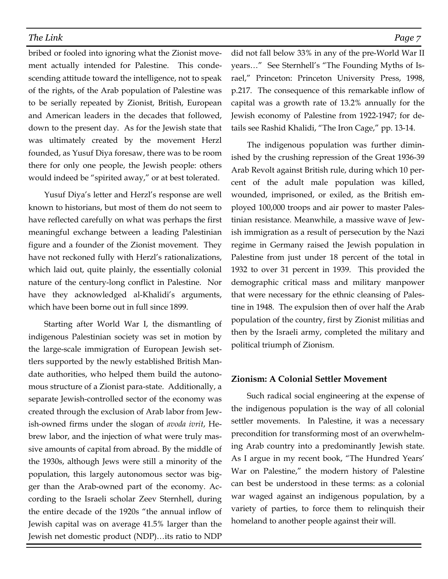bribed or fooled into ignoring what the Zionist movement actually intended for Palestine. This condescending attitude toward the intelligence, not to speak of the rights, of the Arab population of Palestine was to be serially repeated by Zionist, British, European and American leaders in the decades that followed, down to the present day. As for the Jewish state that was ultimately created by the movement Herzl founded, as Yusuf Diya foresaw, there was to be room there for only one people, the Jewish people: others would indeed be "spirited away," or at best tolerated.

Yusuf Diya's letter and Herzl's response are well known to historians, but most of them do not seem to have reflected carefully on what was perhaps the first meaningful exchange between a leading Palestinian figure and a founder of the Zionist movement. They have not reckoned fully with Herzl's rationalizations, which laid out, quite plainly, the essentially colonial nature of the century-long conflict in Palestine. Nor have they acknowledged al-Khalidi's arguments, which have been borne out in full since 1899.

Starting after World War I, the dismantling of indigenous Palestinian society was set in motion by the large-scale immigration of European Jewish settlers supported by the newly established British Mandate authorities, who helped them build the autonomous structure of a Zionist para-state. Additionally, a separate Jewish-controlled sector of the economy was created through the exclusion of Arab labor from Jewish-owned firms under the slogan of *avoda ivrit*, Hebrew labor, and the injection of what were truly massive amounts of capital from abroad. By the middle of the 1930s, although Jews were still a minority of the population, this largely autonomous sector was bigger than the Arab-owned part of the economy. According to the Israeli scholar Zeev Sternhell, during the entire decade of the 1920s "the annual inflow of Jewish capital was on average 41.5% larger than the Jewish net domestic product (NDP)…its ratio to NDP did not fall below 33% in any of the pre-World War II years…" See Sternhell's "The Founding Myths of Israel," Princeton: Princeton University Press, 1998, p.217. The consequence of this remarkable inflow of capital was a growth rate of 13.2% annually for the Jewish economy of Palestine from 1922-1947; for details see Rashid Khalidi, "The Iron Cage," pp. 13-14.

The indigenous population was further diminished by the crushing repression of the Great 1936-39 Arab Revolt against British rule, during which 10 percent of the adult male population was killed, wounded, imprisoned, or exiled, as the British employed 100,000 troops and air power to master Palestinian resistance. Meanwhile, a massive wave of Jewish immigration as a result of persecution by the Nazi regime in Germany raised the Jewish population in Palestine from just under 18 percent of the total in 1932 to over 31 percent in 1939. This provided the demographic critical mass and military manpower that were necessary for the ethnic cleansing of Palestine in 1948. The expulsion then of over half the Arab population of the country, first by Zionist militias and then by the Israeli army, completed the military and political triumph of Zionism.

#### **Zionism: A Colonial Settler Movement**

Such radical social engineering at the expense of the indigenous population is the way of all colonial settler movements. In Palestine, it was a necessary precondition for transforming most of an overwhelming Arab country into a predominantly Jewish state. As I argue in my recent book, "The Hundred Years' War on Palestine," the modern history of Palestine can best be understood in these terms: as a colonial war waged against an indigenous population, by a variety of parties, to force them to relinquish their homeland to another people against their will.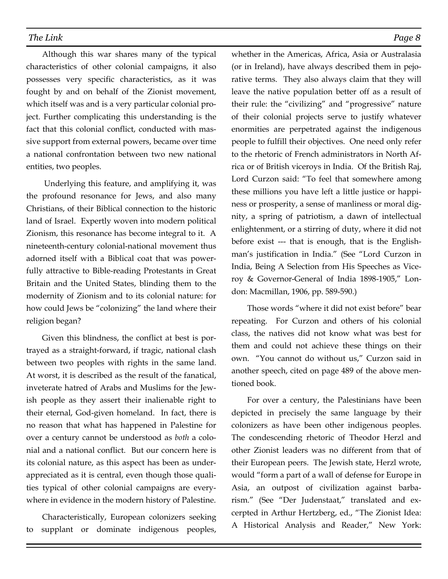Although this war shares many of the typical characteristics of other colonial campaigns, it also possesses very specific characteristics, as it was fought by and on behalf of the Zionist movement, which itself was and is a very particular colonial project. Further complicating this understanding is the fact that this colonial conflict, conducted with massive support from external powers, became over time a national confrontation between two new national entities, two peoples.

 Underlying this feature, and amplifying it, was the profound resonance for Jews, and also many Christians, of their Biblical connection to the historic land of Israel. Expertly woven into modern political Zionism, this resonance has become integral to it. A nineteenth-century colonial-national movement thus adorned itself with a Biblical coat that was powerfully attractive to Bible-reading Protestants in Great Britain and the United States, blinding them to the modernity of Zionism and to its colonial nature: for how could Jews be "colonizing" the land where their religion began?

Given this blindness, the conflict at best is portrayed as a straight-forward, if tragic, national clash between two peoples with rights in the same land. At worst, it is described as the result of the fanatical, inveterate hatred of Arabs and Muslims for the Jewish people as they assert their inalienable right to their eternal, God-given homeland. In fact, there is no reason that what has happened in Palestine for over a century cannot be understood as *both* a colonial and a national conflict. But our concern here is its colonial nature, as this aspect has been as underappreciated as it is central, even though those qualities typical of other colonial campaigns are everywhere in evidence in the modern history of Palestine.

Characteristically, European colonizers seeking to supplant or dominate indigenous peoples, whether in the Americas, Africa, Asia or Australasia (or in Ireland), have always described them in pejorative terms. They also always claim that they will leave the native population better off as a result of their rule: the "civilizing" and "progressive" nature of their colonial projects serve to justify whatever enormities are perpetrated against the indigenous people to fulfill their objectives. One need only refer to the rhetoric of French administrators in North Africa or of British viceroys in India. Of the British Raj, Lord Curzon said: "To feel that somewhere among these millions you have left a little justice or happiness or prosperity, a sense of manliness or moral dignity, a spring of patriotism, a dawn of intellectual enlightenment, or a stirring of duty, where it did not before exist --- that is enough, that is the Englishman's justification in India." (See "Lord Curzon in India, Being A Selection from His Speeches as Viceroy & Governor-General of India 1898-1905," London: Macmillan, 1906, pp. 589-590.)

Those words "where it did not exist before" bear repeating. For Curzon and others of his colonial class, the natives did not know what was best for them and could not achieve these things on their own. "You cannot do without us," Curzon said in another speech, cited on page 489 of the above mentioned book.

For over a century, the Palestinians have been depicted in precisely the same language by their colonizers as have been other indigenous peoples. The condescending rhetoric of Theodor Herzl and other Zionist leaders was no different from that of their European peers. The Jewish state, Herzl wrote, would "form a part of a wall of defense for Europe in Asia, an outpost of civilization against barbarism." (See "Der Judenstaat," translated and excerpted in Arthur Hertzberg, ed., "The Zionist Idea: A Historical Analysis and Reader," New York: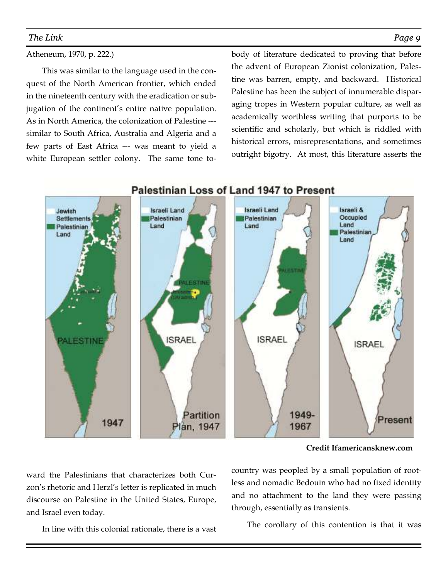#### Atheneum, 1970, p. 222.)

This was similar to the language used in the conquest of the North American frontier, which ended in the nineteenth century with the eradication or subjugation of the continent's entire native population. As in North America, the colonization of Palestine -- similar to South Africa, Australia and Algeria and a few parts of East Africa --- was meant to yield a white European settler colony. The same tone tobody of literature dedicated to proving that before the advent of European Zionist colonization, Palestine was barren, empty, and backward. Historical Palestine has been the subject of innumerable disparaging tropes in Western popular culture, as well as academically worthless writing that purports to be scientific and scholarly, but which is riddled with historical errors, misrepresentations, and sometimes outright bigotry. At most, this literature asserts the



#### Palestinian Loss of Land 1947 to Present

**Credit Ifamericansknew.com** 

ward the Palestinians that characterizes both Curzon's rhetoric and Herzl's letter is replicated in much discourse on Palestine in the United States, Europe, and Israel even today.

In line with this colonial rationale, there is a vast

country was peopled by a small population of rootless and nomadic Bedouin who had no fixed identity and no attachment to the land they were passing through, essentially as transients.

The corollary of this contention is that it was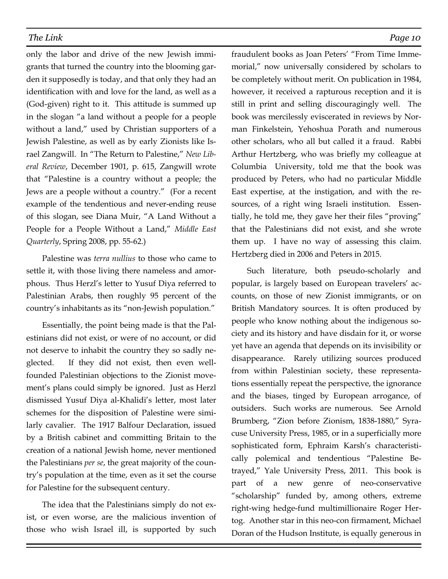only the labor and drive of the new Jewish immigrants that turned the country into the blooming garden it supposedly is today, and that only they had an identification with and love for the land, as well as a (God-given) right to it. This attitude is summed up in the slogan "a land without a people for a people without a land," used by Christian supporters of a Jewish Palestine, as well as by early Zionists like Israel Zangwill. In "The Return to Palestine," *New Liberal Review*, December 1901, p. 615, Zangwill wrote that "Palestine is a country without a people; the Jews are a people without a country." (For a recent example of the tendentious and never-ending reuse of this slogan, see Diana Muir, "A Land Without a People for a People Without a Land," *Middle East Quarterly*, Spring 2008, pp. 55-62.)

Palestine was *terra nullius* to those who came to settle it, with those living there nameless and amorphous. Thus Herzl's letter to Yusuf Diya referred to Palestinian Arabs, then roughly 95 percent of the country's inhabitants as its "non-Jewish population."

Essentially, the point being made is that the Palestinians did not exist, or were of no account, or did not deserve to inhabit the country they so sadly neglected. If they did not exist, then even wellfounded Palestinian objections to the Zionist movement's plans could simply be ignored. Just as Herzl dismissed Yusuf Diya al-Khalidi's letter, most later schemes for the disposition of Palestine were similarly cavalier. The 1917 Balfour Declaration, issued by a British cabinet and committing Britain to the creation of a national Jewish home, never mentioned the Palestinians *per se*, the great majority of the country's population at the time, even as it set the course for Palestine for the subsequent century.

The idea that the Palestinians simply do not exist, or even worse, are the malicious invention of those who wish Israel ill, is supported by such fraudulent books as Joan Peters' "From Time Immemorial," now universally considered by scholars to be completely without merit. On publication in 1984, however, it received a rapturous reception and it is still in print and selling discouragingly well. The book was mercilessly eviscerated in reviews by Norman Finkelstein, Yehoshua Porath and numerous other scholars, who all but called it a fraud. Rabbi Arthur Hertzberg, who was briefly my colleague at Columbia University, told me that the book was produced by Peters, who had no particular Middle East expertise, at the instigation, and with the resources, of a right wing Israeli institution. Essentially, he told me, they gave her their files "proving" that the Palestinians did not exist, and she wrote them up. I have no way of assessing this claim. Hertzberg died in 2006 and Peters in 2015.

Such literature, both pseudo-scholarly and popular, is largely based on European travelers' accounts, on those of new Zionist immigrants, or on British Mandatory sources. It is often produced by people who know nothing about the indigenous society and its history and have disdain for it, or worse yet have an agenda that depends on its invisibility or disappearance. Rarely utilizing sources produced from within Palestinian society, these representations essentially repeat the perspective, the ignorance and the biases, tinged by European arrogance, of outsiders. Such works are numerous. See Arnold Brumberg, "Zion before Zionism, 1838-1880," Syracuse University Press, 1985, or in a superficially more sophisticated form, Ephraim Karsh's characteristically polemical and tendentious "Palestine Betrayed," Yale University Press, 2011. This book is part of a new genre of neo-conservative "scholarship" funded by, among others, extreme right-wing hedge-fund multimillionaire Roger Hertog. Another star in this neo-con firmament, Michael Doran of the Hudson Institute, is equally generous in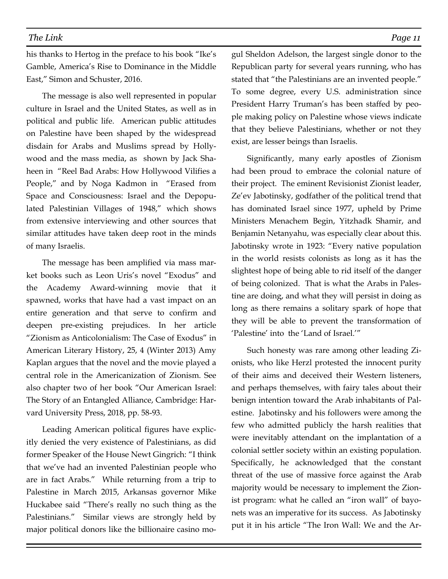his thanks to Hertog in the preface to his book "Ike's Gamble, America's Rise to Dominance in the Middle East," Simon and Schuster, 2016.

The message is also well represented in popular culture in Israel and the United States, as well as in political and public life. American public attitudes on Palestine have been shaped by the widespread disdain for Arabs and Muslims spread by Hollywood and the mass media, as shown by Jack Shaheen in "Reel Bad Arabs: How Hollywood Vilifies a People," and by Noga Kadmon in "Erased from Space and Consciousness: Israel and the Depopulated Palestinian Villages of 1948," which shows from extensive interviewing and other sources that similar attitudes have taken deep root in the minds of many Israelis.

The message has been amplified via mass market books such as Leon Uris's novel "Exodus" and the Academy Award-winning movie that it spawned, works that have had a vast impact on an entire generation and that serve to confirm and deepen pre-existing prejudices. In her article "Zionism as Anticolonialism: The Case of Exodus" in American Literary History, 25, 4 (Winter 2013) Amy Kaplan argues that the novel and the movie played a central role in the Americanization of Zionism. See also chapter two of her book "Our American Israel: The Story of an Entangled Alliance, Cambridge: Harvard University Press, 2018, pp. 58-93.

Leading American political figures have explicitly denied the very existence of Palestinians, as did former Speaker of the House Newt Gingrich: "I think that we've had an invented Palestinian people who are in fact Arabs." While returning from a trip to Palestine in March 2015, Arkansas governor Mike Huckabee said "There's really no such thing as the Palestinians." Similar views are strongly held by major political donors like the billionaire casino mogul Sheldon Adelson, the largest single donor to the Republican party for several years running, who has stated that "the Palestinians are an invented people." To some degree, every U.S. administration since President Harry Truman's has been staffed by people making policy on Palestine whose views indicate that they believe Palestinians, whether or not they exist, are lesser beings than Israelis.

Significantly, many early apostles of Zionism had been proud to embrace the colonial nature of their project. The eminent Revisionist Zionist leader, Ze'ev Jabotinsky, godfather of the political trend that has dominated Israel since 1977, upheld by Prime Ministers Menachem Begin, Yitzhadk Shamir, and Benjamin Netanyahu, was especially clear about this. Jabotinsky wrote in 1923: "Every native population in the world resists colonists as long as it has the slightest hope of being able to rid itself of the danger of being colonized. That is what the Arabs in Palestine are doing, and what they will persist in doing as long as there remains a solitary spark of hope that they will be able to prevent the transformation of 'Palestine' into the 'Land of Israel.'"

Such honesty was rare among other leading Zionists, who like Herzl protested the innocent purity of their aims and deceived their Western listeners, and perhaps themselves, with fairy tales about their benign intention toward the Arab inhabitants of Palestine. Jabotinsky and his followers were among the few who admitted publicly the harsh realities that were inevitably attendant on the implantation of a colonial settler society within an existing population. Specifically, he acknowledged that the constant threat of the use of massive force against the Arab majority would be necessary to implement the Zionist program: what he called an "iron wall" of bayonets was an imperative for its success. As Jabotinsky put it in his article "The Iron Wall: We and the Ar-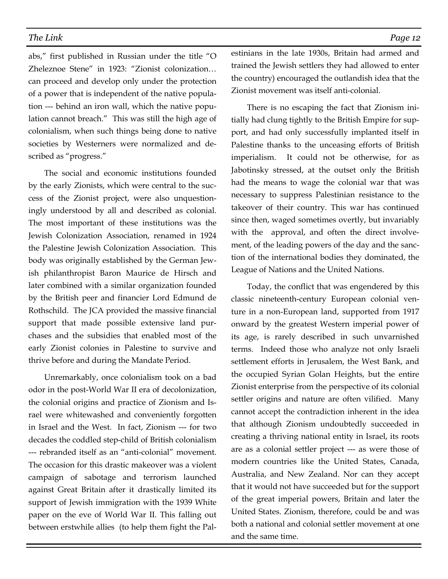abs," first published in Russian under the title "O Zheleznoe Stene" in 1923: "Zionist colonization… can proceed and develop only under the protection of a power that is independent of the native population --- behind an iron wall, which the native population cannot breach." This was still the high age of colonialism, when such things being done to native societies by Westerners were normalized and described as "progress."

The social and economic institutions founded by the early Zionists, which were central to the success of the Zionist project, were also unquestioningly understood by all and described as colonial. The most important of these institutions was the Jewish Colonization Association, renamed in 1924 the Palestine Jewish Colonization Association. This body was originally established by the German Jewish philanthropist Baron Maurice de Hirsch and later combined with a similar organization founded by the British peer and financier Lord Edmund de Rothschild. The JCA provided the massive financial support that made possible extensive land purchases and the subsidies that enabled most of the early Zionist colonies in Palestine to survive and thrive before and during the Mandate Period.

Unremarkably, once colonialism took on a bad odor in the post-World War II era of decolonization, the colonial origins and practice of Zionism and Israel were whitewashed and conveniently forgotten in Israel and the West. In fact, Zionism --- for two decades the coddled step-child of British colonialism --- rebranded itself as an "anti-colonial" movement. The occasion for this drastic makeover was a violent campaign of sabotage and terrorism launched against Great Britain after it drastically limited its support of Jewish immigration with the 1939 White paper on the eve of World War II. This falling out between erstwhile allies (to help them fight the Palestinians in the late 1930s, Britain had armed and trained the Jewish settlers they had allowed to enter the country) encouraged the outlandish idea that the Zionist movement was itself anti-colonial.

There is no escaping the fact that Zionism initially had clung tightly to the British Empire for support, and had only successfully implanted itself in Palestine thanks to the unceasing efforts of British imperialism. It could not be otherwise, for as Jabotinsky stressed, at the outset only the British had the means to wage the colonial war that was necessary to suppress Palestinian resistance to the takeover of their country. This war has continued since then, waged sometimes overtly, but invariably with the approval, and often the direct involvement, of the leading powers of the day and the sanction of the international bodies they dominated, the League of Nations and the United Nations.

Today, the conflict that was engendered by this classic nineteenth-century European colonial venture in a non-European land, supported from 1917 onward by the greatest Western imperial power of its age, is rarely described in such unvarnished terms. Indeed those who analyze not only Israeli settlement efforts in Jerusalem, the West Bank, and the occupied Syrian Golan Heights, but the entire Zionist enterprise from the perspective of its colonial settler origins and nature are often vilified. Many cannot accept the contradiction inherent in the idea that although Zionism undoubtedly succeeded in creating a thriving national entity in Israel, its roots are as a colonial settler project --- as were those of modern countries like the United States, Canada, Australia, and New Zealand. Nor can they accept that it would not have succeeded but for the support of the great imperial powers, Britain and later the United States. Zionism, therefore, could be and was both a national and colonial settler movement at one and the same time.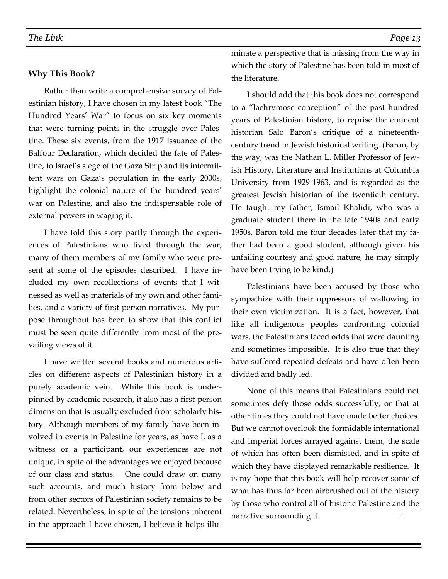#### **Why This Book?**

Rather than write a comprehensive survey of Palestinian history, I have chosen in my latest book "The Hundred Years' War" to focus on six key moments that were turning points in the struggle over Palestine. These six events, from the 1917 issuance of the Balfour Declaration, which decided the fate of Palestine, to Israel's siege of the Gaza Strip and its intermittent wars on Gaza's population in the early 2000s, highlight the colonial nature of the hundred years' war on Palestine, and also the indispensable role of external powers in waging it.

I have told this story partly through the experiences of Palestinians who lived through the war, many of them members of my family who were present at some of the episodes described. I have included my own recollections of events that I witnessed as well as materials of my own and other families, and a variety of first-person narratives. My purpose throughout has been to show that this conflict must be seen quite differently from most of the prevailing views of it.

I have written several books and numerous articles on different aspects of Palestinian history in a purely academic vein. While this book is underpinned by academic research, it also has a first-person dimension that is usually excluded from scholarly history. Although members of my family have been involved in events in Palestine for years, as have I, as a witness or a participant, our experiences are not unique, in spite of the advantages we enjoyed because of our class and status. One could draw on many such accounts, and much history from below and from other sectors of Palestinian society remains to be related. Nevertheless, in spite of the tensions inherent in the approach I have chosen, I believe it helps illuminate a perspective that is missing from the way in which the story of Palestine has been told in most of the literature.

I should add that this book does not correspond to a "lachrymose conception" of the past hundred years of Palestinian history, to reprise the eminent historian Salo Baron's critique of a nineteenthcentury trend in Jewish historical writing. (Baron, by the way, was the Nathan L. Miller Professor of Jewish History, Literature and Institutions at Columbia University from 1929-1963, and is regarded as the greatest Jewish historian of the twentieth century. He taught my father, Ismail Khalidi, who was a graduate student there in the late 1940s and early 1950s. Baron told me four decades later that my father had been a good student, although given his unfailing courtesy and good nature, he may simply have been trying to be kind.)

Palestinians have been accused by those who sympathize with their oppressors of wallowing in their own victimization. It is a fact, however, that like all indigenous peoples confronting colonial wars, the Palestinians faced odds that were daunting and sometimes impossible. It is also true that they have suffered repeated defeats and have often been divided and badly led.

None of this means that Palestinians could not sometimes defy those odds successfully, or that at other times they could not have made better choices. But we cannot overlook the formidable international and imperial forces arrayed against them, the scale of which has often been dismissed, and in spite of which they have displayed remarkable resilience. It is my hope that this book will help recover some of what has thus far been airbrushed out of the history by those who control all of historic Palestine and the narrative surrounding it. □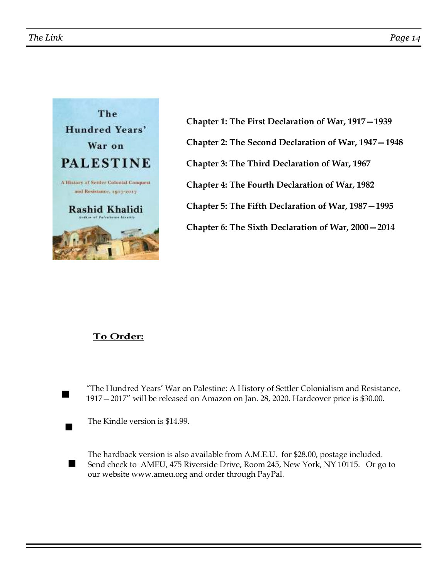



**Chapter 1: The First Declaration of War, 1917—1939 Chapter 2: The Second Declaration of War, 1947—1948 Chapter 3: The Third Declaration of War, 1967 Chapter 4: The Fourth Declaration of War, 1982 Chapter 5: The Fifth Declaration of War, 1987—1995 Chapter 6: The Sixth Declaration of War, 2000—2014** 

#### **To Order:**



■

"The Hundred Years' War on Palestine: A History of Settler Colonialism and Resistance,<br>1917—2017" will be released on Amazon on Jan. 28, 2020. Hardcover price is \$30.00.

| The Kindle version is \$14.99. |  |
|--------------------------------|--|
|                                |  |

The hardback version is also available from A.M.E.U. for \$28.00, postage included. Send check to AMEU, 475 Riverside Drive, Room 245, New York, NY 10115. Or go to our website www.ameu.org and order through PayPal.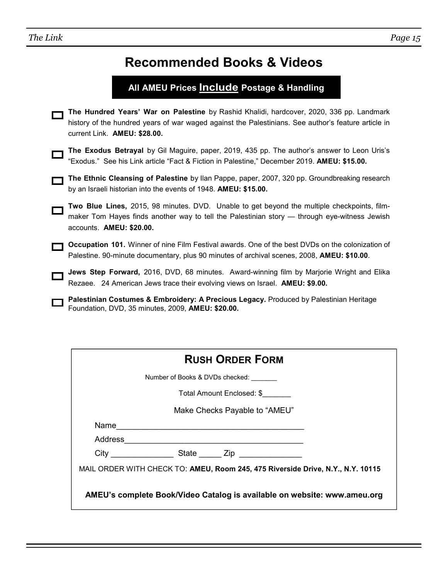## **Recommended Books & Videos**

## **All AMEU Prices Include Postage & Handling**

| The Hundred Years' War on Palestine by Rashid Khalidi, hardcover, 2020, 336 pp. Landmark<br>history of the hundred years of war waged against the Palestinians. See author's feature article in<br>current Link. AMEU: \$28.00. |
|---------------------------------------------------------------------------------------------------------------------------------------------------------------------------------------------------------------------------------|
| The Exodus Betrayal by Gil Maguire, paper, 2019, 435 pp. The author's answer to Leon Uris's<br>"Exodus." See his Link article "Fact & Fiction in Palestine," December 2019. AMEU: \$15.00.                                      |
| The Ethnic Cleansing of Palestine by Ilan Pappe, paper, 2007, 320 pp. Groundbreaking research<br>by an Israeli historian into the events of 1948. AMEU: \$15.00.                                                                |
| Two Blue Lines, 2015, 98 minutes. DVD. Unable to get beyond the multiple checkpoints, film-<br>maker Tom Hayes finds another way to tell the Palestinian story — through eye-witness Jewish<br>accounts. AMEU: \$20.00.         |
| Occupation 101. Winner of nine Film Festival awards. One of the best DVDs on the colonization of<br>Palestine. 90-minute documentary, plus 90 minutes of archival scenes, 2008, <b>AMEU: \$10.00</b> .                          |
| Jews Step Forward, 2016, DVD, 68 minutes. Award-winning film by Marjorie Wright and Elika<br>Rezaee. 24 American Jews trace their evolving views on Israel. <b>AMEU: \$9.00.</b>                                                |
| Palestinian Costumes & Embroidery: A Precious Legacy. Produced by Palestinian Heritage<br>Foundation, DVD, 35 minutes, 2009, AMEU: \$20.00.                                                                                     |

|                               | <b>RUSH ORDER FORM</b>                                                                                               |  |  |  |  |
|-------------------------------|----------------------------------------------------------------------------------------------------------------------|--|--|--|--|
|                               | Number of Books & DVDs checked:                                                                                      |  |  |  |  |
|                               | Total Amount Enclosed: \$                                                                                            |  |  |  |  |
| Make Checks Payable to "AMEU" |                                                                                                                      |  |  |  |  |
|                               |                                                                                                                      |  |  |  |  |
| Address                       | <u> 1989 - Johann John Stein, markin fan it ferstjer fan de ferstjer fan it ferstjer fan de ferstjer fan it fers</u> |  |  |  |  |
|                               | City State Zip                                                                                                       |  |  |  |  |
|                               | MAIL ORDER WITH CHECK TO: AMEU, Room 245, 475 Riverside Drive, N.Y., N.Y. 10115                                      |  |  |  |  |
|                               | AMEU's complete Book/Video Catalog is available on website: www.ameu.org                                             |  |  |  |  |